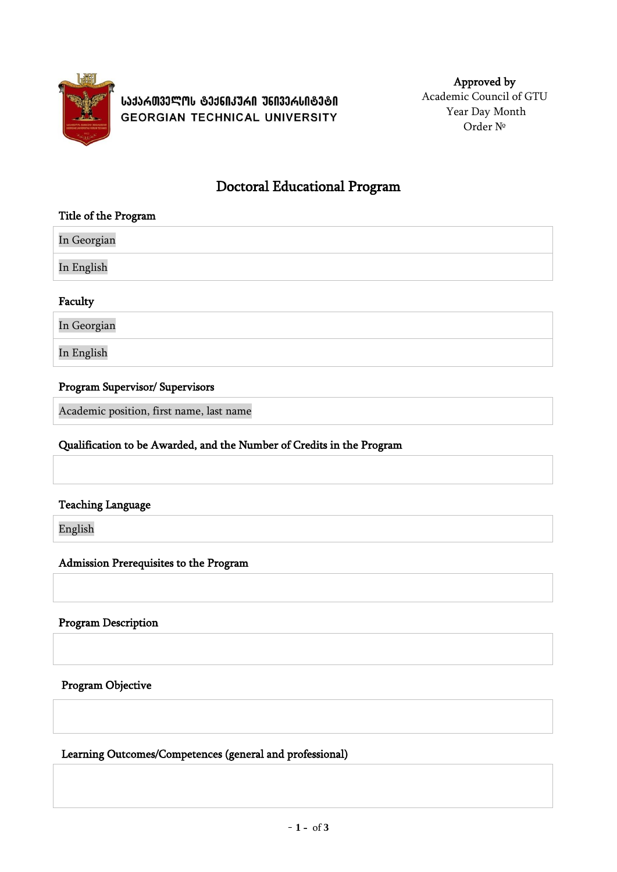

**ᲡᲐᲥᲐᲠᲗᲕᲔᲚᲝᲡ ᲢᲔᲥᲜᲘᲙᲣᲠᲘ ᲣᲜᲘᲕᲔᲠᲡᲘᲢᲔᲢᲘ GEORGIAN TECHNICAL UNIVERSITY** 

Approved by Academic Council of GTU Year Day Month Order №

# Doctoral Educational Program

#### Title of the Program

In Georgian In English

## Faculty

In Georgian

In English

## Program Supervisor/ Supervisors

Academic position, first name, last name

## Qualification to be Awarded, and the Number of Credits in the Program

#### Teaching Language

English

#### Admission Prerequisites to the Program

## Program Description

Program Objective

Learning Outcomes/Competences (general and professional)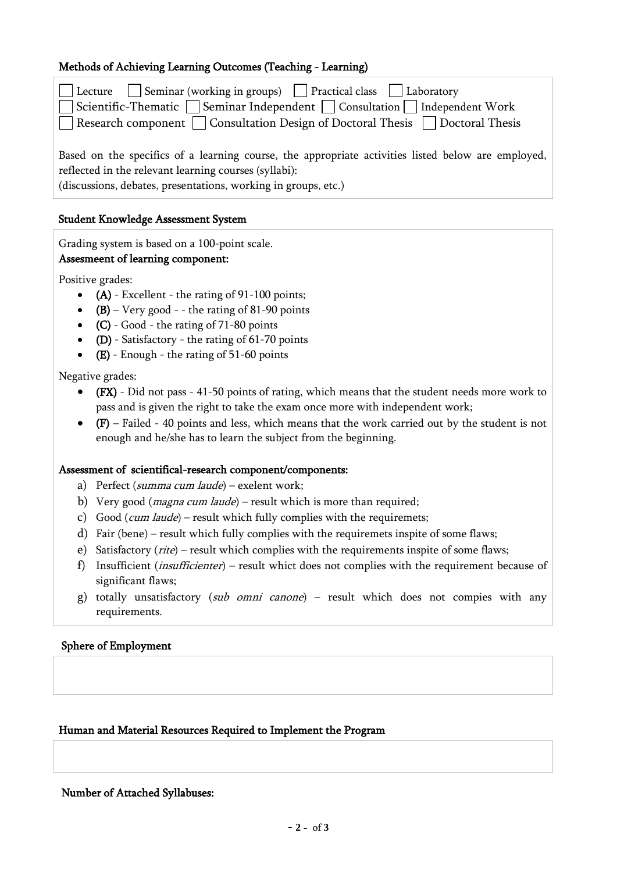## Methods of Achieving Learning Outcomes (Teaching - Learning)

| Lecture   Seminar (working in groups)   Practical class   Laboratory<br>□ Scientific-Thematic □ Seminar Independent □ Consultation □ Independent Work<br>□ Research component □ Consultation Design of Doctoral Thesis □ Doctoral Thesis |
|------------------------------------------------------------------------------------------------------------------------------------------------------------------------------------------------------------------------------------------|
| Based on the specifics of a learning course, the appropriate activities listed below are employed,<br>reflected in the relevant learning courses (syllabi):<br>(discussions, debates, presentations, working in groups, etc.)            |

#### Student Knowledge Assessment System

Grading system is based on a 100-point scale.

#### Assesmeent of learning component:

Positive grades:

- $\bullet$  (A) Excellent the rating of 91-100 points;
- $(B)$  Very good - the rating of 81-90 points
- $(C)$  Good the rating of 71-80 points
- (D) Satisfactory the rating of  $61-70$  points
- (E) Enough the rating of 51-60 points

Negative grades:

- (FX) Did not pass 41-50 points of rating, which means that the student needs more work to pass and is given the right to take the exam once more with independent work;
- $\bullet$  (F) Failed 40 points and less, which means that the work carried out by the student is not enough and he/she has to learn the subject from the beginning.

#### Assessment of scientifical-research component/components:

- a) Perfect (summa cum laude) exelent work;
- b) Very good (*magna cum laude*) result which is more than required;
- c) Good (*cum laude*) result which fully complies with the requiremets;
- d) Fair (bene) result which fully complies with the requiremets inspite of some flaws;
- e) Satisfactory  $(\text{rite})$  result which complies with the requirements inspite of some flaws;
- f) Insufficient (insufficienter) result whict does not complies with the requirement because of significant flaws;
- g) totally unsatisfactory (sub omni canone) result which does not compies with any requirements.

#### Sphere of Employment

#### Human and Material Resources Required to Implement the Program

Number of Attached Syllabuses: